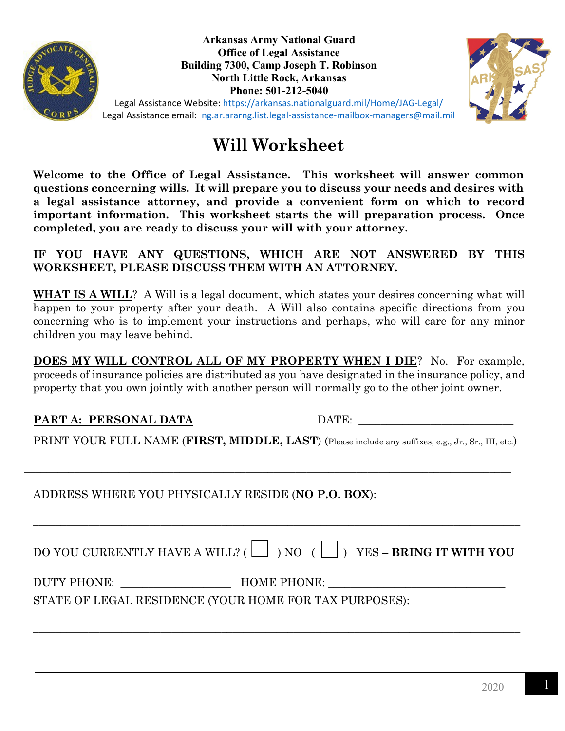

**Arkansas Army National Guard Office of Legal Assistance Building 7300, Camp Joseph T. Robinson North Little Rock, Arkansas Phone: 501-212-5040** 



Legal Assistance Website:<https://arkansas.nationalguard.mil/Home/JAG-Legal/> Legal Assistance email: [ng.ar.ararng.list.legal-assistance-mailbox-managers@mail.mil](mailto:ng.ar.ararng.list.legal-assistance-mailbox-managers@mail.mil)

# **Will Worksheet**

**Welcome to the Office of Legal Assistance. This worksheet will answer common questions concerning wills. It will prepare you to discuss your needs and desires with a legal assistance attorney, and provide a convenient form on which to record important information. This worksheet starts the will preparation process. Once completed, you are ready to discuss your will with your attorney.** 

**IF YOU HAVE ANY QUESTIONS, WHICH ARE NOT ANSWERED BY THIS WORKSHEET, PLEASE DISCUSS THEM WITH AN ATTORNEY.**

WHAT IS A WILL? A Will is a legal document, which states your desires concerning what will happen to your property after your death. A Will also contains specific directions from you concerning who is to implement your instructions and perhaps, who will care for any minor children you may leave behind.

**DOES MY WILL CONTROL ALL OF MY PROPERTY WHEN I DIE**? No. For example, proceeds of insurance policies are distributed as you have designated in the insurance policy, and property that you own jointly with another person will normally go to the other joint owner.

#### **PART A: PERSONAL DATA** DATE:

PRINT YOUR FULL NAME (**FIRST, MIDDLE, LAST**) (Please include any suffixes, e.g., Jr., Sr., III, etc.)

\_\_\_\_\_\_\_\_\_\_\_\_\_\_\_\_\_\_\_\_\_\_\_\_\_\_\_\_\_\_\_\_\_\_\_\_\_\_\_\_\_\_\_\_\_\_\_\_\_\_\_\_\_\_\_\_\_\_\_\_\_\_\_\_\_\_\_\_\_\_\_\_\_\_\_\_\_\_\_\_\_\_\_\_\_\_\_\_

## ADDRESS WHERE YOU PHYSICALLY RESIDE (**NO P.O. BOX**):

| DO YOU CURRENTLY HAVE A WILL? ( $\Box$ ) NO ( $\Box$ ) YES – <b>BRING IT WITH YOU</b> |  |  |  |
|---------------------------------------------------------------------------------------|--|--|--|
|---------------------------------------------------------------------------------------|--|--|--|

\_\_\_\_\_\_\_\_\_\_\_\_\_\_\_\_\_\_\_\_\_\_\_\_\_\_\_\_\_\_\_\_\_\_\_\_\_\_\_\_\_\_\_\_\_\_\_\_\_\_\_\_\_\_\_\_\_\_\_\_\_\_\_\_\_\_\_\_\_\_\_\_\_\_\_\_\_\_\_\_\_\_\_\_\_\_\_\_

DUTY PHONE: HOME PHONE:

\_\_\_\_\_\_\_\_\_\_\_\_\_\_\_\_\_\_\_\_\_\_\_\_\_\_\_\_\_\_\_\_\_\_\_\_\_\_\_\_\_\_\_\_\_\_\_\_\_\_\_\_\_\_\_\_\_\_\_\_\_\_\_\_\_\_\_\_\_\_\_\_\_\_\_\_\_\_\_\_\_\_\_\_\_\_\_\_

STATE OF LEGAL RESIDENCE (YOUR HOME FOR TAX PURPOSES):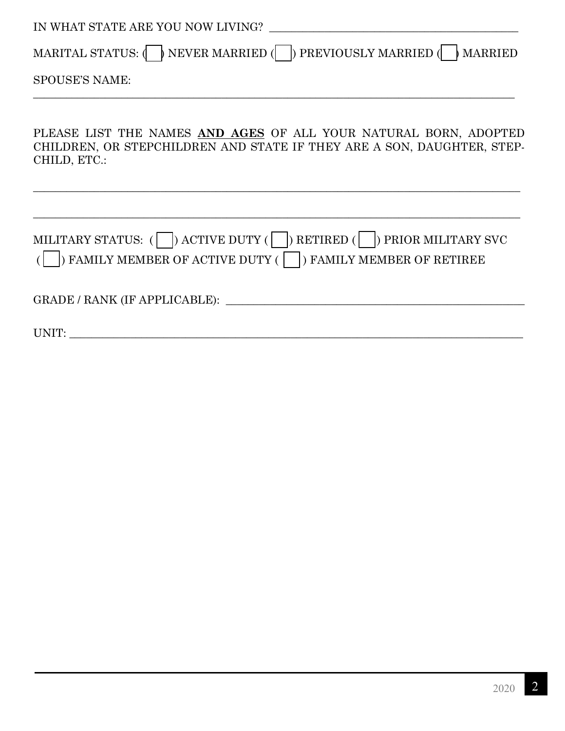| IN WHAT STATE ARE YOU NOW LIVING?                                                                                                                                       |  |  |  |  |  |
|-------------------------------------------------------------------------------------------------------------------------------------------------------------------------|--|--|--|--|--|
| MARITAL STATUS: $\langle \rangle$ NEVER MARRIED $\langle \rangle$ PREVIOUSLY MARRIED $\langle \rangle$ MARRIED                                                          |  |  |  |  |  |
| <b>SPOUSE'S NAME:</b>                                                                                                                                                   |  |  |  |  |  |
| PLEASE LIST THE NAMES AND AGES OF ALL YOUR NATURAL BORN, ADOPTED<br>CHILDREN, OR STEPCHILDREN AND STATE IF THEY ARE A SON, DAUGHTER, STEP-<br>CHILD, ETC.:              |  |  |  |  |  |
|                                                                                                                                                                         |  |  |  |  |  |
| MILITARY STATUS: $(\Box)$ ACTIVE DUTY $(\Box)$ RETIRED $(\Box)$ PRIOR MILITARY SVC<br>$\vert$ ) FAMILY MEMBER OF ACTIVE DUTY ( $\vert \vert$ ) FAMILY MEMBER OF RETIREE |  |  |  |  |  |
| GRADE / RANK (IF APPLICABLE):                                                                                                                                           |  |  |  |  |  |
| UNIT:                                                                                                                                                                   |  |  |  |  |  |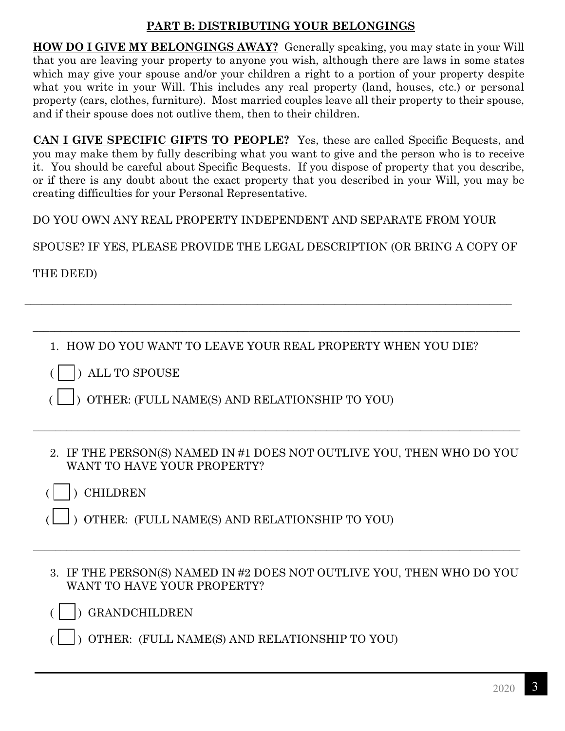#### **PART B: DISTRIBUTING YOUR BELONGINGS**

**HOW DO I GIVE MY BELONGINGS AWAY?** Generally speaking, you may state in your Will that you are leaving your property to anyone you wish, although there are laws in some states which may give your spouse and/or your children a right to a portion of your property despite what you write in your Will. This includes any real property (land, houses, etc.) or personal property (cars, clothes, furniture). Most married couples leave all their property to their spouse, and if their spouse does not outlive them, then to their children.

**CAN I GIVE SPECIFIC GIFTS TO PEOPLE?** Yes, these are called Specific Bequests, and you may make them by fully describing what you want to give and the person who is to receive it. You should be careful about Specific Bequests. If you dispose of property that you describe, or if there is any doubt about the exact property that you described in your Will, you may be creating difficulties for your Personal Representative.

DO YOU OWN ANY REAL PROPERTY INDEPENDENT AND SEPARATE FROM YOUR

SPOUSE? IF YES, PLEASE PROVIDE THE LEGAL DESCRIPTION (OR BRING A COPY OF

THE DEED)

1. HOW DO YOU WANT TO LEAVE YOUR REAL PROPERTY WHEN YOU DIE?

\_\_\_\_\_\_\_\_\_\_\_\_\_\_\_\_\_\_\_\_\_\_\_\_\_\_\_\_\_\_\_\_\_\_\_\_\_\_\_\_\_\_\_\_\_\_\_\_\_\_\_\_\_\_\_\_\_\_\_\_\_\_\_\_\_\_\_\_\_\_\_\_\_\_\_\_\_\_\_\_\_\_\_\_\_\_\_\_

\_\_\_\_\_\_\_\_\_\_\_\_\_\_\_\_\_\_\_\_\_\_\_\_\_\_\_\_\_\_\_\_\_\_\_\_\_\_\_\_\_\_\_\_\_\_\_\_\_\_\_\_\_\_\_\_\_\_\_\_\_\_\_\_\_\_\_\_\_\_\_\_\_\_\_\_\_\_\_\_\_\_\_\_\_\_\_\_

( ) ALL TO SPOUSE

( ) OTHER: (FULL NAME(S) AND RELATIONSHIP TO YOU)

2. IF THE PERSON(S) NAMED IN #1 DOES NOT OUTLIVE YOU, THEN WHO DO YOU WANT TO HAVE YOUR PROPERTY?

\_\_\_\_\_\_\_\_\_\_\_\_\_\_\_\_\_\_\_\_\_\_\_\_\_\_\_\_\_\_\_\_\_\_\_\_\_\_\_\_\_\_\_\_\_\_\_\_\_\_\_\_\_\_\_\_\_\_\_\_\_\_\_\_\_\_\_\_\_\_\_\_\_\_\_\_\_\_\_\_\_\_\_\_\_\_\_\_

( ) CHILDREN

- ( ) OTHER: (FULL NAME(S) AND RELATIONSHIP TO YOU)
- 3. IF THE PERSON(S) NAMED IN #2 DOES NOT OUTLIVE YOU, THEN WHO DO YOU WANT TO HAVE YOUR PROPERTY?

\_\_\_\_\_\_\_\_\_\_\_\_\_\_\_\_\_\_\_\_\_\_\_\_\_\_\_\_\_\_\_\_\_\_\_\_\_\_\_\_\_\_\_\_\_\_\_\_\_\_\_\_\_\_\_\_\_\_\_\_\_\_\_\_\_\_\_\_\_\_\_\_\_\_\_\_\_\_\_\_\_\_\_\_\_\_\_\_

( ) GRANDCHILDREN

( ) OTHER: (FULL NAME(S) AND RELATIONSHIP TO YOU)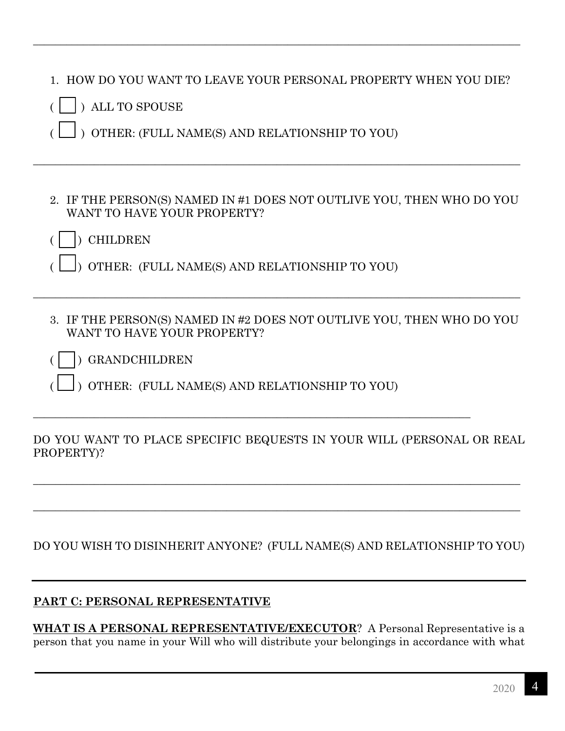|  | 1. HOW DO YOU WANT TO LEAVE YOUR PERSONAL PROPERTY WHEN YOU DIE? |  |
|--|------------------------------------------------------------------|--|
|  |                                                                  |  |

\_\_\_\_\_\_\_\_\_\_\_\_\_\_\_\_\_\_\_\_\_\_\_\_\_\_\_\_\_\_\_\_\_\_\_\_\_\_\_\_\_\_\_\_\_\_\_\_\_\_\_\_\_\_\_\_\_\_\_\_\_\_\_\_\_\_\_\_\_\_\_\_\_\_\_\_\_\_\_\_\_\_\_\_\_\_\_\_

|  | ) ALL TO SPOUSE |
|--|-----------------|
|  |                 |

( ) OTHER: (FULL NAME(S) AND RELATIONSHIP TO YOU)

2. IF THE PERSON(S) NAMED IN #1 DOES NOT OUTLIVE YOU, THEN WHO DO YOU WANT TO HAVE YOUR PROPERTY?

\_\_\_\_\_\_\_\_\_\_\_\_\_\_\_\_\_\_\_\_\_\_\_\_\_\_\_\_\_\_\_\_\_\_\_\_\_\_\_\_\_\_\_\_\_\_\_\_\_\_\_\_\_\_\_\_\_\_\_\_\_\_\_\_\_\_\_\_\_\_\_\_\_\_\_\_\_\_\_\_\_\_\_\_\_\_\_\_

- ( ) CHILDREN
- ( ) OTHER: (FULL NAME(S) AND RELATIONSHIP TO YOU)
- 3. IF THE PERSON(S) NAMED IN #2 DOES NOT OUTLIVE YOU, THEN WHO DO YOU WANT TO HAVE YOUR PROPERTY?

\_\_\_\_\_\_\_\_\_\_\_\_\_\_\_\_\_\_\_\_\_\_\_\_\_\_\_\_\_\_\_\_\_\_\_\_\_\_\_\_\_\_\_\_\_\_\_\_\_\_\_\_\_\_\_\_\_\_\_\_\_\_\_\_\_\_\_\_\_\_\_\_\_\_\_\_\_\_\_\_\_\_\_\_\_\_\_\_

- ( ) GRANDCHILDREN
- ( ) OTHER: (FULL NAME(S) AND RELATIONSHIP TO YOU)

\_\_\_\_\_\_\_\_\_\_\_\_\_\_\_\_\_\_\_\_\_\_\_\_\_\_\_\_\_\_\_\_\_\_\_\_\_\_\_\_\_\_\_\_\_\_\_\_\_\_\_\_\_\_\_\_\_\_\_\_\_\_\_\_\_\_\_\_\_\_\_\_\_\_\_\_\_\_\_

#### DO YOU WANT TO PLACE SPECIFIC BEQUESTS IN YOUR WILL (PERSONAL OR REAL PROPERTY)?

\_\_\_\_\_\_\_\_\_\_\_\_\_\_\_\_\_\_\_\_\_\_\_\_\_\_\_\_\_\_\_\_\_\_\_\_\_\_\_\_\_\_\_\_\_\_\_\_\_\_\_\_\_\_\_\_\_\_\_\_\_\_\_\_\_\_\_\_\_\_\_\_\_\_\_\_\_\_\_\_\_\_\_\_\_\_\_\_

\_\_\_\_\_\_\_\_\_\_\_\_\_\_\_\_\_\_\_\_\_\_\_\_\_\_\_\_\_\_\_\_\_\_\_\_\_\_\_\_\_\_\_\_\_\_\_\_\_\_\_\_\_\_\_\_\_\_\_\_\_\_\_\_\_\_\_\_\_\_\_\_\_\_\_\_\_\_\_\_\_\_\_\_\_\_\_\_

DO YOU WISH TO DISINHERIT ANYONE? (FULL NAME(S) AND RELATIONSHIP TO YOU)

#### **PART C: PERSONAL REPRESENTATIVE**

**WHAT IS A PERSONAL REPRESENTATIVE/EXECUTOR**? A Personal Representative is a person that you name in your Will who will distribute your belongings in accordance with what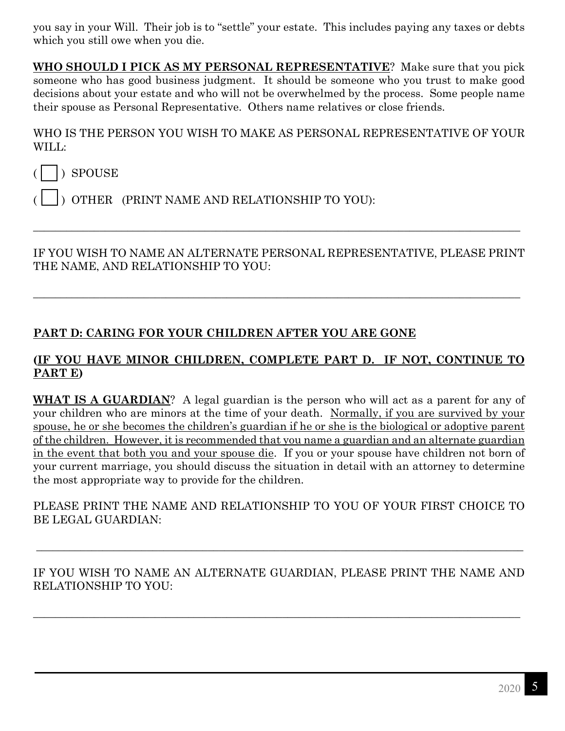you say in your Will. Their job is to "settle" your estate. This includes paying any taxes or debts which you still owe when you die.

**WHO SHOULD I PICK AS MY PERSONAL REPRESENTATIVE**? Make sure that you pick someone who has good business judgment. It should be someone who you trust to make good decisions about your estate and who will not be overwhelmed by the process. Some people name their spouse as Personal Representative. Others name relatives or close friends.

WHO IS THE PERSON YOU WISH TO MAKE AS PERSONAL REPRESENTATIVE OF YOUR WILL:

 $($   $)$  SPOUSE

( ) OTHER (PRINT NAME AND RELATIONSHIP TO YOU):

IF YOU WISH TO NAME AN ALTERNATE PERSONAL REPRESENTATIVE, PLEASE PRINT THE NAME, AND RELATIONSHIP TO YOU:

\_\_\_\_\_\_\_\_\_\_\_\_\_\_\_\_\_\_\_\_\_\_\_\_\_\_\_\_\_\_\_\_\_\_\_\_\_\_\_\_\_\_\_\_\_\_\_\_\_\_\_\_\_\_\_\_\_\_\_\_\_\_\_\_\_\_\_\_\_\_\_\_\_\_\_\_\_\_\_\_\_\_\_\_\_\_\_\_

\_\_\_\_\_\_\_\_\_\_\_\_\_\_\_\_\_\_\_\_\_\_\_\_\_\_\_\_\_\_\_\_\_\_\_\_\_\_\_\_\_\_\_\_\_\_\_\_\_\_\_\_\_\_\_\_\_\_\_\_\_\_\_\_\_\_\_\_\_\_\_\_\_\_\_\_\_\_\_\_\_\_\_\_\_\_\_\_

### **PART D: CARING FOR YOUR CHILDREN AFTER YOU ARE GONE**

#### **(IF YOU HAVE MINOR CHILDREN, COMPLETE PART D. IF NOT, CONTINUE TO PART E)**

**WHAT IS A GUARDIAN**? A legal guardian is the person who will act as a parent for any of your children who are minors at the time of your death. Normally, if you are survived by your spouse, he or she becomes the children's guardian if he or she is the biological or adoptive parent of the children. However, it is recommended that you name a guardian and an alternate guardian in the event that both you and your spouse die. If you or your spouse have children not born of your current marriage, you should discuss the situation in detail with an attorney to determine the most appropriate way to provide for the children.

PLEASE PRINT THE NAME AND RELATIONSHIP TO YOU OF YOUR FIRST CHOICE TO BE LEGAL GUARDIAN:

IF YOU WISH TO NAME AN ALTERNATE GUARDIAN, PLEASE PRINT THE NAME AND RELATIONSHIP TO YOU:

\_\_\_\_\_\_\_\_\_\_\_\_\_\_\_\_\_\_\_\_\_\_\_\_\_\_\_\_\_\_\_\_\_\_\_\_\_\_\_\_\_\_\_\_\_\_\_\_\_\_\_\_\_\_\_\_\_\_\_\_\_\_\_\_\_\_\_\_\_\_\_\_\_\_\_\_\_\_\_\_\_\_\_\_\_\_\_\_

\_\_\_\_\_\_\_\_\_\_\_\_\_\_\_\_\_\_\_\_\_\_\_\_\_\_\_\_\_\_\_\_\_\_\_\_\_\_\_\_\_\_\_\_\_\_\_\_\_\_\_\_\_\_\_\_\_\_\_\_\_\_\_\_\_\_\_\_\_\_\_\_\_\_\_\_\_\_\_\_\_\_\_\_\_\_\_\_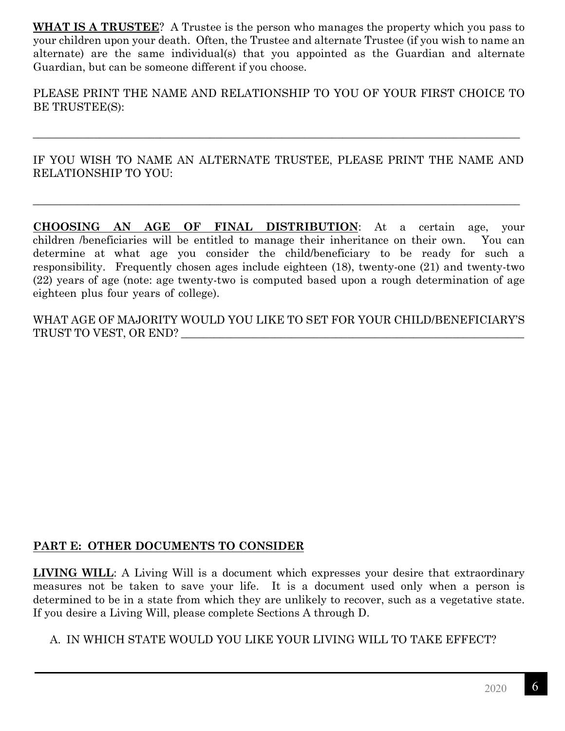**WHAT IS A TRUSTEE**? A Trustee is the person who manages the property which you pass to your children upon your death. Often, the Trustee and alternate Trustee (if you wish to name an alternate) are the same individual(s) that you appointed as the Guardian and alternate Guardian, but can be someone different if you choose.

PLEASE PRINT THE NAME AND RELATIONSHIP TO YOU OF YOUR FIRST CHOICE TO BE TRUSTEE(S):

IF YOU WISH TO NAME AN ALTERNATE TRUSTEE, PLEASE PRINT THE NAME AND RELATIONSHIP TO YOU:

\_\_\_\_\_\_\_\_\_\_\_\_\_\_\_\_\_\_\_\_\_\_\_\_\_\_\_\_\_\_\_\_\_\_\_\_\_\_\_\_\_\_\_\_\_\_\_\_\_\_\_\_\_\_\_\_\_\_\_\_\_\_\_\_\_\_\_\_\_\_\_\_\_\_\_\_\_\_\_\_\_\_\_\_\_\_\_\_

\_\_\_\_\_\_\_\_\_\_\_\_\_\_\_\_\_\_\_\_\_\_\_\_\_\_\_\_\_\_\_\_\_\_\_\_\_\_\_\_\_\_\_\_\_\_\_\_\_\_\_\_\_\_\_\_\_\_\_\_\_\_\_\_\_\_\_\_\_\_\_\_\_\_\_\_\_\_\_\_\_\_\_\_\_\_\_\_

**CHOOSING AN AGE OF FINAL DISTRIBUTION**: At a certain age, your children /beneficiaries will be entitled to manage their inheritance on their own. You can determine at what age you consider the child/beneficiary to be ready for such a responsibility. Frequently chosen ages include eighteen (18), twenty-one (21) and twenty-two (22) years of age (note: age twenty-two is computed based upon a rough determination of age eighteen plus four years of college).

WHAT AGE OF MAJORITY WOULD YOU LIKE TO SET FOR YOUR CHILD/BENEFICIARY'S TRUST TO VEST, OR END? \_\_\_\_\_\_\_\_\_\_\_\_\_\_\_\_\_\_\_\_\_\_\_\_\_\_\_\_\_\_\_\_\_\_\_\_\_\_\_\_\_\_\_\_\_\_\_\_\_\_\_\_\_\_\_\_\_\_\_\_\_\_

#### **PART E: OTHER DOCUMENTS TO CONSIDER**

**LIVING WILL**: A Living Will is a document which expresses your desire that extraordinary measures not be taken to save your life. It is a document used only when a person is determined to be in a state from which they are unlikely to recover, such as a vegetative state. If you desire a Living Will, please complete Sections A through D.

A. IN WHICH STATE WOULD YOU LIKE YOUR LIVING WILL TO TAKE EFFECT?